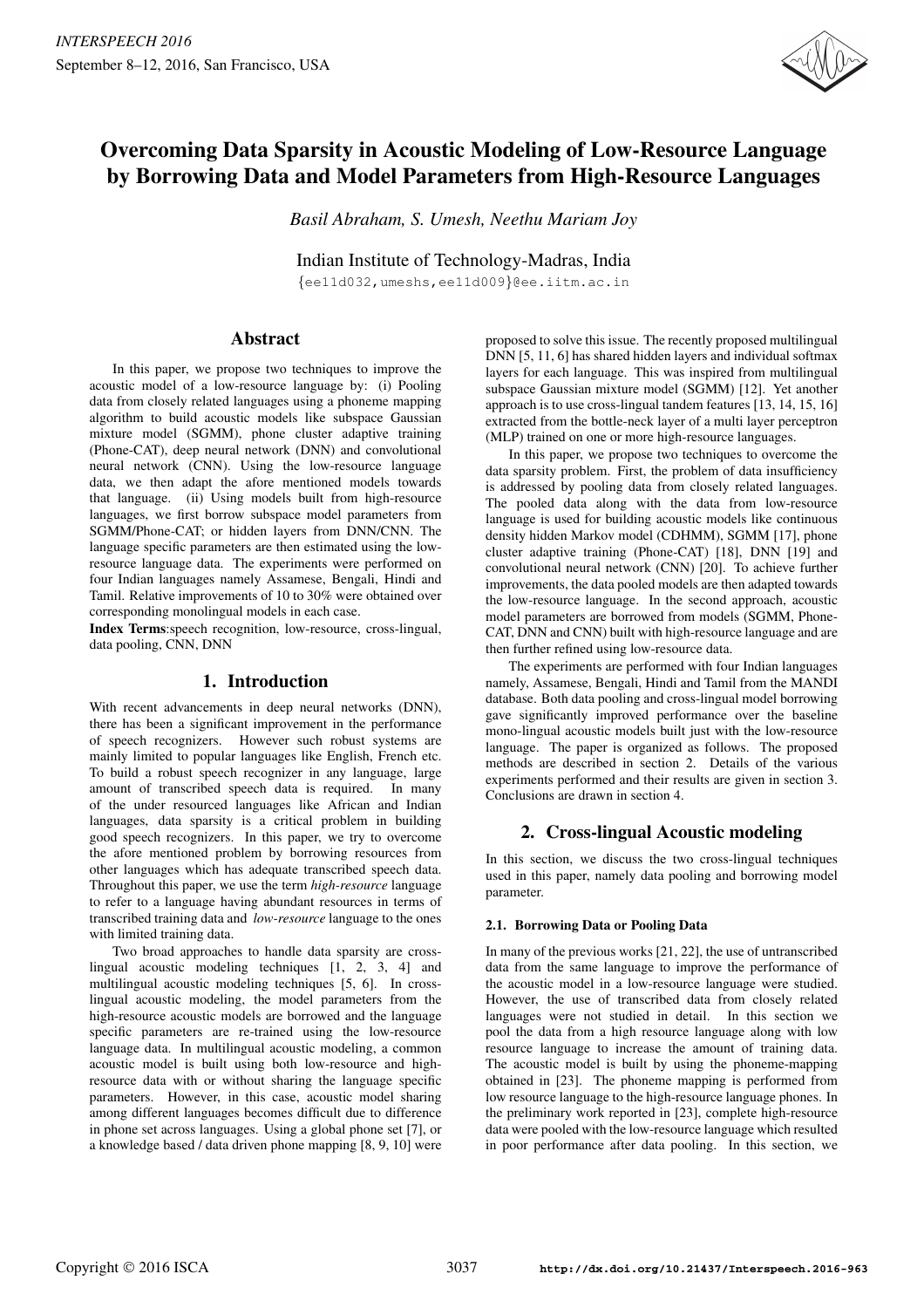

# Overcoming Data Sparsity in Acoustic Modeling of Low-Resource Language by Borrowing Data and Model Parameters from High-Resource Languages

*Basil Abraham, S. Umesh, Neethu Mariam Joy*

Indian Institute of Technology-Madras, India

{ee11d032,umeshs,ee11d009}@ee.iitm.ac.in

# Abstract

In this paper, we propose two techniques to improve the acoustic model of a low-resource language by: (i) Pooling data from closely related languages using a phoneme mapping algorithm to build acoustic models like subspace Gaussian mixture model (SGMM), phone cluster adaptive training (Phone-CAT), deep neural network (DNN) and convolutional neural network (CNN). Using the low-resource language data, we then adapt the afore mentioned models towards that language. (ii) Using models built from high-resource languages, we first borrow subspace model parameters from SGMM/Phone-CAT; or hidden layers from DNN/CNN. The language specific parameters are then estimated using the lowresource language data. The experiments were performed on four Indian languages namely Assamese, Bengali, Hindi and Tamil. Relative improvements of 10 to 30% were obtained over corresponding monolingual models in each case.

Index Terms:speech recognition, low-resource, cross-lingual, data pooling, CNN, DNN

# 1. Introduction

With recent advancements in deep neural networks (DNN), there has been a significant improvement in the performance of speech recognizers. However such robust systems are mainly limited to popular languages like English, French etc. To build a robust speech recognizer in any language, large amount of transcribed speech data is required. In many of the under resourced languages like African and Indian languages, data sparsity is a critical problem in building good speech recognizers. In this paper, we try to overcome the afore mentioned problem by borrowing resources from other languages which has adequate transcribed speech data. Throughout this paper, we use the term *high-resource* language to refer to a language having abundant resources in terms of transcribed training data and *low-resource* language to the ones with limited training data.

Two broad approaches to handle data sparsity are crosslingual acoustic modeling techniques [1, 2, 3, 4] and multilingual acoustic modeling techniques [5, 6]. In crosslingual acoustic modeling, the model parameters from the high-resource acoustic models are borrowed and the language specific parameters are re-trained using the low-resource language data. In multilingual acoustic modeling, a common acoustic model is built using both low-resource and highresource data with or without sharing the language specific parameters. However, in this case, acoustic model sharing among different languages becomes difficult due to difference in phone set across languages. Using a global phone set [7], or a knowledge based / data driven phone mapping [8, 9, 10] were

proposed to solve this issue. The recently proposed multilingual DNN [5, 11, 6] has shared hidden layers and individual softmax layers for each language. This was inspired from multilingual subspace Gaussian mixture model (SGMM) [12]. Yet another approach is to use cross-lingual tandem features [13, 14, 15, 16] extracted from the bottle-neck layer of a multi layer perceptron (MLP) trained on one or more high-resource languages.

In this paper, we propose two techniques to overcome the data sparsity problem. First, the problem of data insufficiency is addressed by pooling data from closely related languages. The pooled data along with the data from low-resource language is used for building acoustic models like continuous density hidden Markov model (CDHMM), SGMM [17], phone cluster adaptive training (Phone-CAT) [18], DNN [19] and convolutional neural network (CNN) [20]. To achieve further improvements, the data pooled models are then adapted towards the low-resource language. In the second approach, acoustic model parameters are borrowed from models (SGMM, Phone-CAT, DNN and CNN) built with high-resource language and are then further refined using low-resource data.

The experiments are performed with four Indian languages namely, Assamese, Bengali, Hindi and Tamil from the MANDI database. Both data pooling and cross-lingual model borrowing gave significantly improved performance over the baseline mono-lingual acoustic models built just with the low-resource language. The paper is organized as follows. The proposed methods are described in section 2. Details of the various experiments performed and their results are given in section 3. Conclusions are drawn in section 4.

# 2. Cross-lingual Acoustic modeling

In this section, we discuss the two cross-lingual techniques used in this paper, namely data pooling and borrowing model parameter.

### 2.1. Borrowing Data or Pooling Data

In many of the previous works [21, 22], the use of untranscribed data from the same language to improve the performance of the acoustic model in a low-resource language were studied. However, the use of transcribed data from closely related languages were not studied in detail. In this section we pool the data from a high resource language along with low resource language to increase the amount of training data. The acoustic model is built by using the phoneme-mapping obtained in [23]. The phoneme mapping is performed from low resource language to the high-resource language phones. In the preliminary work reported in [23], complete high-resource data were pooled with the low-resource language which resulted in poor performance after data pooling. In this section, we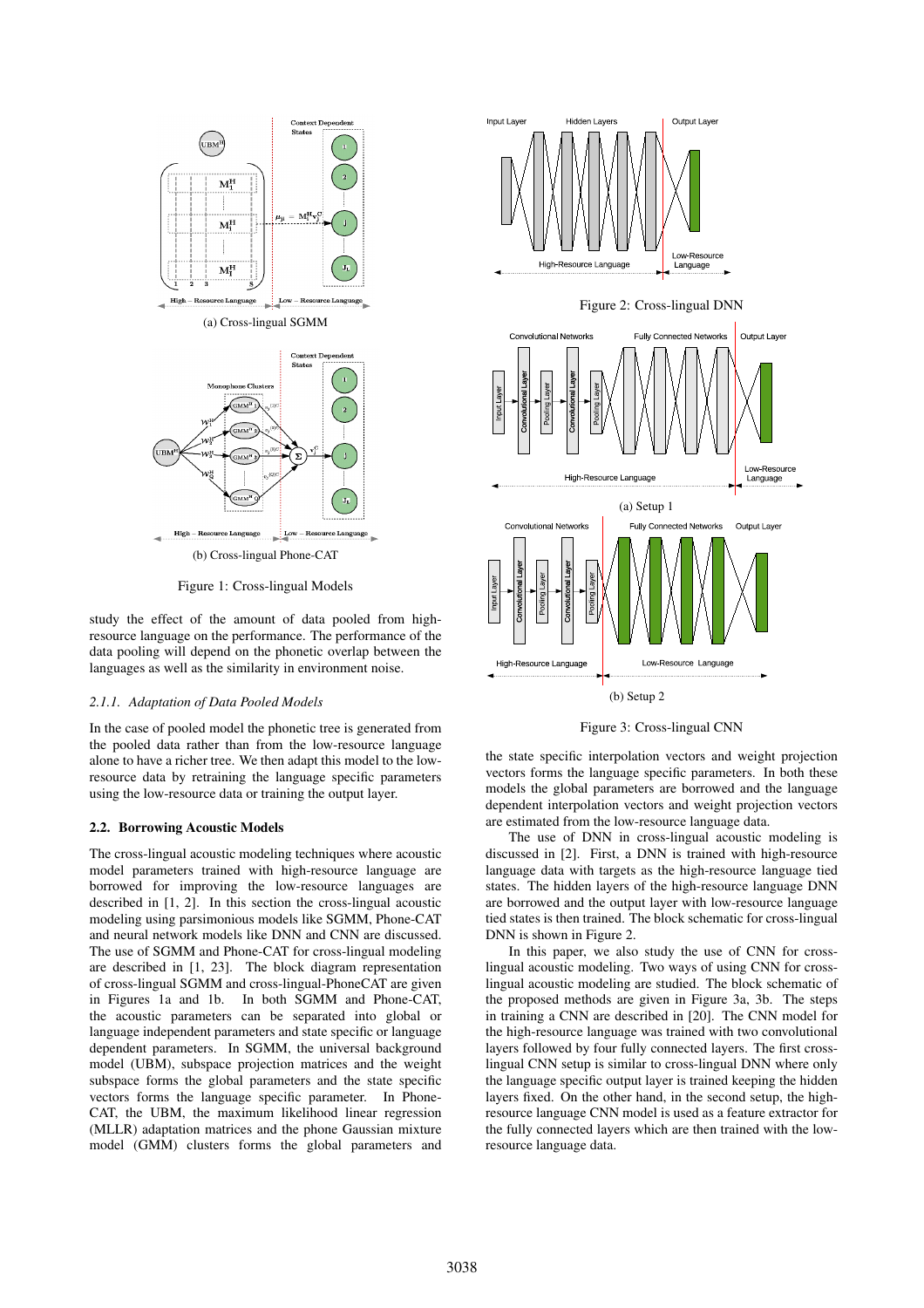

Figure 1: Cross-lingual Models

study the effect of the amount of data pooled from highresource language on the performance. The performance of the data pooling will depend on the phonetic overlap between the languages as well as the similarity in environment noise.

#### *2.1.1. Adaptation of Data Pooled Models*

In the case of pooled model the phonetic tree is generated from the pooled data rather than from the low-resource language alone to have a richer tree. We then adapt this model to the lowresource data by retraining the language specific parameters using the low-resource data or training the output layer.

#### 2.2. Borrowing Acoustic Models

The cross-lingual acoustic modeling techniques where acoustic model parameters trained with high-resource language are borrowed for improving the low-resource languages are described in [1, 2]. In this section the cross-lingual acoustic modeling using parsimonious models like SGMM, Phone-CAT and neural network models like DNN and CNN are discussed. The use of SGMM and Phone-CAT for cross-lingual modeling are described in [1, 23]. The block diagram representation of cross-lingual SGMM and cross-lingual-PhoneCAT are given in Figures 1a and 1b. In both SGMM and Phone-CAT, the acoustic parameters can be separated into global or language independent parameters and state specific or language dependent parameters. In SGMM, the universal background model (UBM), subspace projection matrices and the weight subspace forms the global parameters and the state specific vectors forms the language specific parameter. In Phone-CAT, the UBM, the maximum likelihood linear regression (MLLR) adaptation matrices and the phone Gaussian mixture model (GMM) clusters forms the global parameters and



Figure 3: Cross-lingual CNN

the state specific interpolation vectors and weight projection vectors forms the language specific parameters. In both these models the global parameters are borrowed and the language dependent interpolation vectors and weight projection vectors are estimated from the low-resource language data.

The use of DNN in cross-lingual acoustic modeling is discussed in [2]. First, a DNN is trained with high-resource language data with targets as the high-resource language tied states. The hidden layers of the high-resource language DNN are borrowed and the output layer with low-resource language tied states is then trained. The block schematic for cross-lingual DNN is shown in Figure 2.

In this paper, we also study the use of CNN for crosslingual acoustic modeling. Two ways of using CNN for crosslingual acoustic modeling are studied. The block schematic of the proposed methods are given in Figure 3a, 3b. The steps in training a CNN are described in [20]. The CNN model for the high-resource language was trained with two convolutional layers followed by four fully connected layers. The first crosslingual CNN setup is similar to cross-lingual DNN where only the language specific output layer is trained keeping the hidden layers fixed. On the other hand, in the second setup, the highresource language CNN model is used as a feature extractor for the fully connected layers which are then trained with the lowresource language data.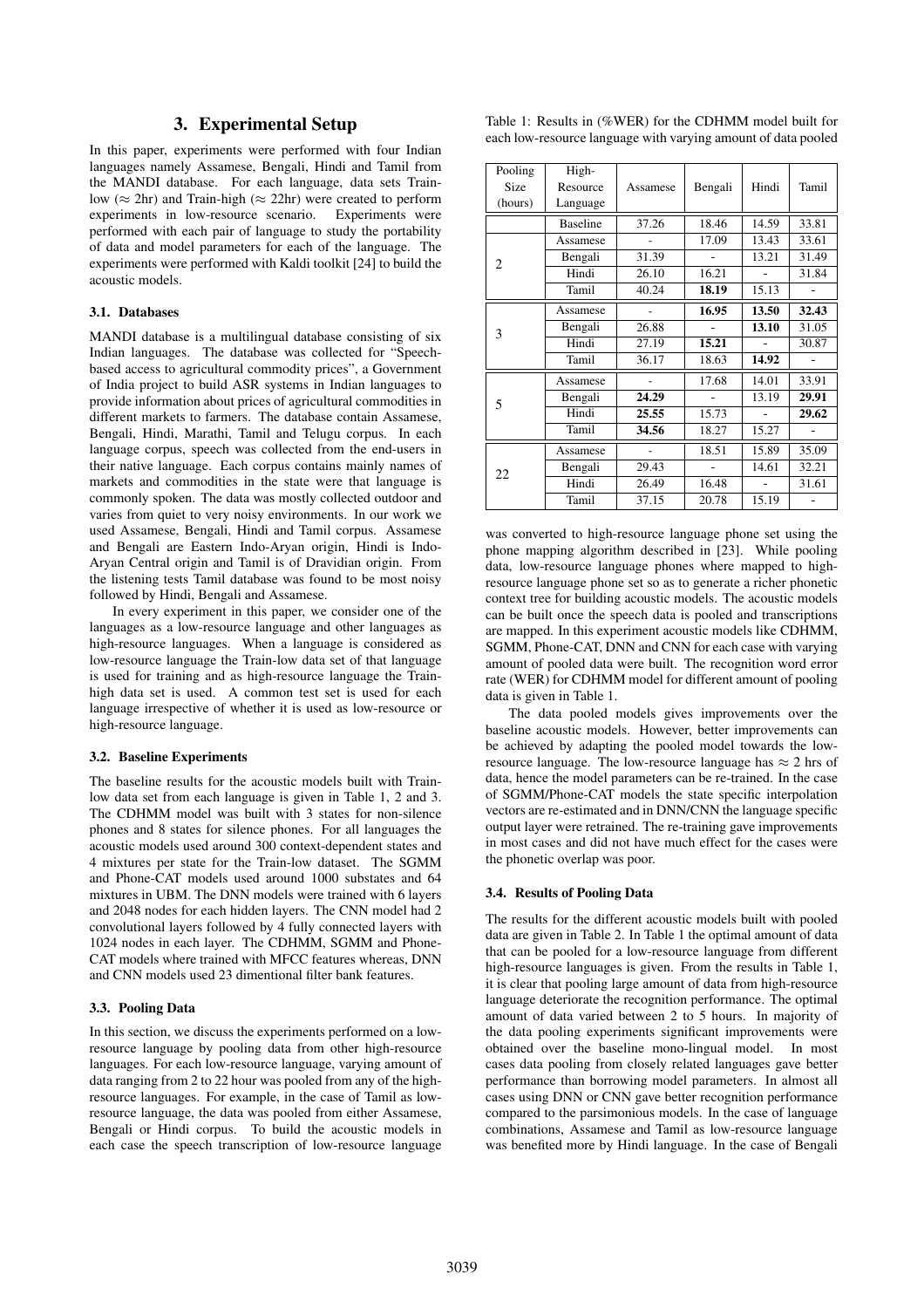## 3. Experimental Setup

In this paper, experiments were performed with four Indian languages namely Assamese, Bengali, Hindi and Tamil from the MANDI database. For each language, data sets Trainlow ( $\approx$  2hr) and Train-high ( $\approx$  22hr) were created to perform experiments in low-resource scenario. Experiments were performed with each pair of language to study the portability of data and model parameters for each of the language. The experiments were performed with Kaldi toolkit [24] to build the acoustic models.

### 3.1. Databases

MANDI database is a multilingual database consisting of six Indian languages. The database was collected for "Speechbased access to agricultural commodity prices", a Government of India project to build ASR systems in Indian languages to provide information about prices of agricultural commodities in different markets to farmers. The database contain Assamese, Bengali, Hindi, Marathi, Tamil and Telugu corpus. In each language corpus, speech was collected from the end-users in their native language. Each corpus contains mainly names of markets and commodities in the state were that language is commonly spoken. The data was mostly collected outdoor and varies from quiet to very noisy environments. In our work we used Assamese, Bengali, Hindi and Tamil corpus. Assamese and Bengali are Eastern Indo-Aryan origin, Hindi is Indo-Aryan Central origin and Tamil is of Dravidian origin. From the listening tests Tamil database was found to be most noisy followed by Hindi, Bengali and Assamese.

In every experiment in this paper, we consider one of the languages as a low-resource language and other languages as high-resource languages. When a language is considered as low-resource language the Train-low data set of that language is used for training and as high-resource language the Trainhigh data set is used. A common test set is used for each language irrespective of whether it is used as low-resource or high-resource language.

#### 3.2. Baseline Experiments

The baseline results for the acoustic models built with Trainlow data set from each language is given in Table 1, 2 and 3. The CDHMM model was built with 3 states for non-silence phones and 8 states for silence phones. For all languages the acoustic models used around 300 context-dependent states and 4 mixtures per state for the Train-low dataset. The SGMM and Phone-CAT models used around 1000 substates and 64 mixtures in UBM. The DNN models were trained with 6 layers and 2048 nodes for each hidden layers. The CNN model had 2 convolutional layers followed by 4 fully connected layers with 1024 nodes in each layer. The CDHMM, SGMM and Phone-CAT models where trained with MFCC features whereas, DNN and CNN models used 23 dimentional filter bank features.

#### 3.3. Pooling Data

In this section, we discuss the experiments performed on a lowresource language by pooling data from other high-resource languages. For each low-resource language, varying amount of data ranging from 2 to 22 hour was pooled from any of the highresource languages. For example, in the case of Tamil as lowresource language, the data was pooled from either Assamese, Bengali or Hindi corpus. To build the acoustic models in each case the speech transcription of low-resource language

| Table 1: Results in (%WER) for the CDHMM model built for      |  |  |  |
|---------------------------------------------------------------|--|--|--|
| each low-resource language with varying amount of data pooled |  |  |  |

| Pooling<br>Size<br>(hours) | High-<br>Resource<br>Language | Assamese | Bengali | Hindi | Tamil |
|----------------------------|-------------------------------|----------|---------|-------|-------|
|                            | <b>Baseline</b>               | 37.26    | 18.46   | 14.59 | 33.81 |
|                            | Assamese                      |          | 17.09   | 13.43 | 33.61 |
|                            | Bengali                       | 31.39    |         | 13.21 | 31.49 |
| 2                          | Hindi                         | 26.10    | 16.21   |       | 31.84 |
|                            | Tamil                         | 40.24    | 18.19   | 15.13 |       |
|                            | Assamese                      |          | 16.95   | 13.50 | 32.43 |
| 3                          | Bengali                       | 26.88    |         | 13.10 | 31.05 |
|                            | Hindi                         | 27.19    | 15.21   |       | 30.87 |
|                            | Tamil                         | 36.17    | 18.63   | 14.92 |       |
|                            | Assamese                      |          | 17.68   | 14.01 | 33.91 |
| 5                          | Bengali                       | 24.29    |         | 13.19 | 29.91 |
|                            | Hindi                         | 25.55    | 15.73   |       | 29.62 |
|                            | Tamil                         | 34.56    | 18.27   | 15.27 |       |
|                            | Assamese                      |          | 18.51   | 15.89 | 35.09 |
| 22                         | Bengali                       | 29.43    |         | 14.61 | 32.21 |
|                            | Hindi                         | 26.49    | 16.48   |       | 31.61 |
|                            | Tamil                         | 37.15    | 20.78   | 15.19 |       |

was converted to high-resource language phone set using the phone mapping algorithm described in [23]. While pooling data, low-resource language phones where mapped to highresource language phone set so as to generate a richer phonetic context tree for building acoustic models. The acoustic models can be built once the speech data is pooled and transcriptions are mapped. In this experiment acoustic models like CDHMM, SGMM, Phone-CAT, DNN and CNN for each case with varying amount of pooled data were built. The recognition word error rate (WER) for CDHMM model for different amount of pooling data is given in Table 1.

The data pooled models gives improvements over the baseline acoustic models. However, better improvements can be achieved by adapting the pooled model towards the lowresource language. The low-resource language has  $\approx$  2 hrs of data, hence the model parameters can be re-trained. In the case of SGMM/Phone-CAT models the state specific interpolation vectors are re-estimated and in DNN/CNN the language specific output layer were retrained. The re-training gave improvements in most cases and did not have much effect for the cases were the phonetic overlap was poor.

#### 3.4. Results of Pooling Data

The results for the different acoustic models built with pooled data are given in Table 2. In Table 1 the optimal amount of data that can be pooled for a low-resource language from different high-resource languages is given. From the results in Table 1, it is clear that pooling large amount of data from high-resource language deteriorate the recognition performance. The optimal amount of data varied between 2 to 5 hours. In majority of the data pooling experiments significant improvements were obtained over the baseline mono-lingual model. In most cases data pooling from closely related languages gave better performance than borrowing model parameters. In almost all cases using DNN or CNN gave better recognition performance compared to the parsimonious models. In the case of language combinations, Assamese and Tamil as low-resource language was benefited more by Hindi language. In the case of Bengali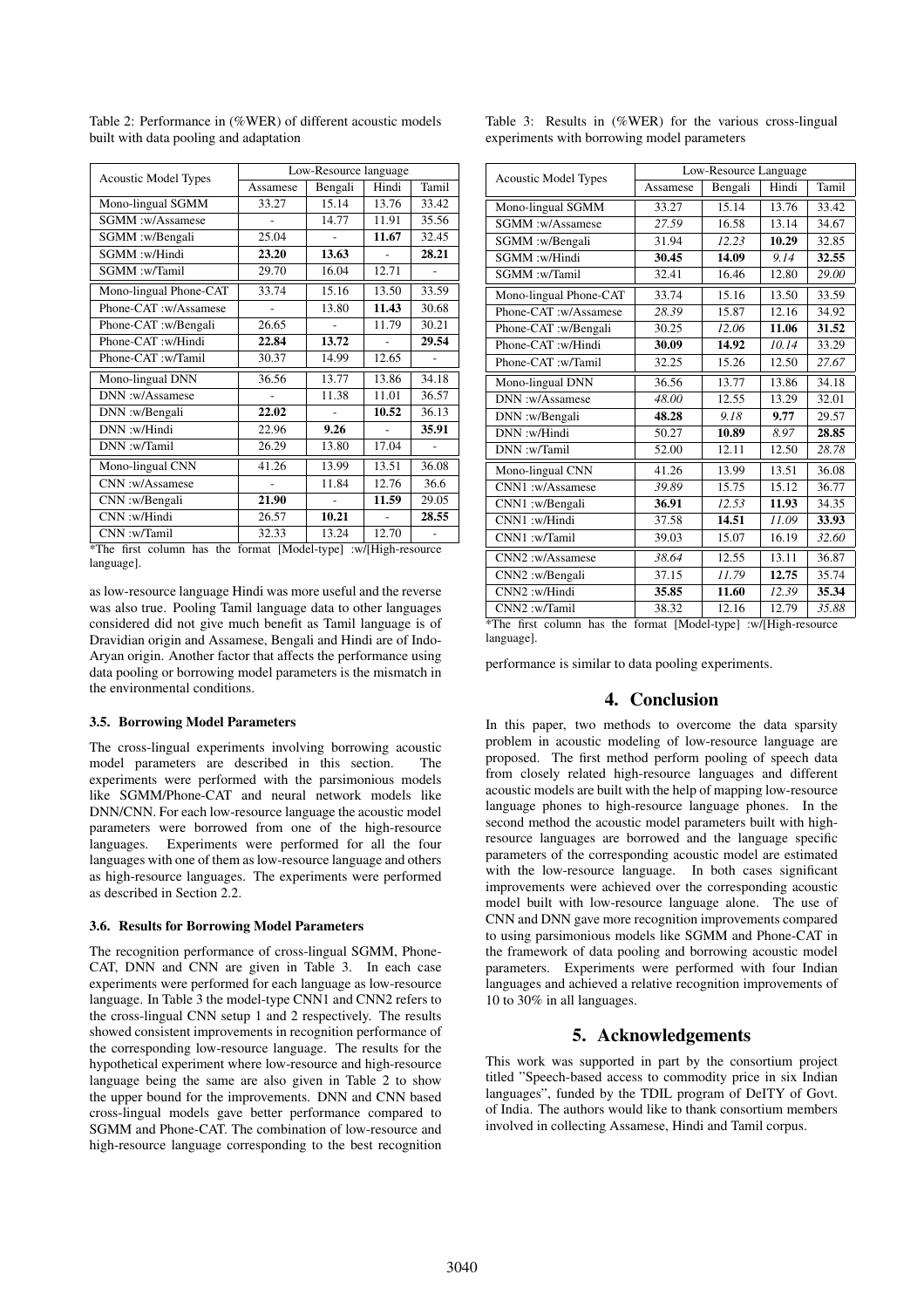| <b>Acoustic Model Types</b>                                     | Low-Resource language |         |       |       |  |
|-----------------------------------------------------------------|-----------------------|---------|-------|-------|--|
|                                                                 | Assamese              | Bengali | Hindi | Tamil |  |
| Mono-lingual SGMM                                               | 33.27                 | 15.14   | 13.76 | 33.42 |  |
| SGMM:w/Assamese                                                 |                       | 14.77   | 11.91 | 35.56 |  |
| SGMM:w/Bengali                                                  | 25.04                 |         | 11.67 | 32.45 |  |
| SGMM:w/Hindi                                                    | 23.20                 | 13.63   |       | 28.21 |  |
| SGMM:w/Tamil                                                    | 29.70                 | 16.04   | 12.71 |       |  |
| Mono-lingual Phone-CAT                                          | 33.74                 | 15.16   | 13.50 | 33.59 |  |
| Phone-CAT:w/Assamese                                            |                       | 13.80   | 11.43 | 30.68 |  |
| Phone-CAT :w/Bengali                                            | 26.65                 |         | 11.79 | 30.21 |  |
| Phone-CAT :w/Hindi                                              | 22.84                 | 13.72   |       | 29.54 |  |
| Phone-CAT :w/Tamil                                              | 30.37                 | 14.99   | 12.65 |       |  |
| Mono-lingual DNN                                                | 36.56                 | 13.77   | 13.86 | 34.18 |  |
| DNN:w/Assamese                                                  |                       | 11.38   | 11.01 | 36.57 |  |
| DNN:w/Bengali                                                   | 22.02                 |         | 10.52 | 36.13 |  |
| DNN:w/Hindi                                                     | 22.96                 | 9.26    |       | 35.91 |  |
| DNN:w/Tamil                                                     | 26.29                 | 13.80   | 17.04 |       |  |
| Mono-lingual CNN                                                | 41.26                 | 13.99   | 13.51 | 36.08 |  |
| CNN:w/Assamese                                                  |                       | 11.84   | 12.76 | 36.6  |  |
| CNN:w/Bengali                                                   | 21.90                 |         | 11.59 | 29.05 |  |
| CNN:w/Hindi                                                     | 26.57                 | 10.21   |       | 28.55 |  |
| CNN:w/Tamil                                                     | 32.33                 | 13.24   | 12.70 |       |  |
| *The first column has the format [Model-type] :w/[High-resource |                       |         |       |       |  |

Table 2: Performance in (%WER) of different acoustic models built with data pooling and adaptation

\*The first column has the format [Model-type] :w/[High-resource language].

as low-resource language Hindi was more useful and the reverse was also true. Pooling Tamil language data to other languages considered did not give much benefit as Tamil language is of Dravidian origin and Assamese, Bengali and Hindi are of Indo-Aryan origin. Another factor that affects the performance using data pooling or borrowing model parameters is the mismatch in the environmental conditions.

### 3.5. Borrowing Model Parameters

The cross-lingual experiments involving borrowing acoustic model parameters are described in this section. experiments were performed with the parsimonious models like SGMM/Phone-CAT and neural network models like DNN/CNN. For each low-resource language the acoustic model parameters were borrowed from one of the high-resource languages. Experiments were performed for all the four languages with one of them as low-resource language and others as high-resource languages. The experiments were performed as described in Section 2.2.

#### 3.6. Results for Borrowing Model Parameters

The recognition performance of cross-lingual SGMM, Phone-CAT, DNN and CNN are given in Table 3. In each case experiments were performed for each language as low-resource language. In Table 3 the model-type CNN1 and CNN2 refers to the cross-lingual CNN setup 1 and 2 respectively. The results showed consistent improvements in recognition performance of the corresponding low-resource language. The results for the hypothetical experiment where low-resource and high-resource language being the same are also given in Table 2 to show the upper bound for the improvements. DNN and CNN based cross-lingual models gave better performance compared to SGMM and Phone-CAT. The combination of low-resource and high-resource language corresponding to the best recognition

| <b>Acoustic Model Types</b> | Low-Resource Language |         |       |       |  |
|-----------------------------|-----------------------|---------|-------|-------|--|
|                             | Assamese              | Bengali | Hindi | Tamil |  |
| Mono-lingual SGMM           | 33.27                 | 15.14   | 13.76 | 33.42 |  |
| SGMM :w/Assamese            | 27.59                 | 16.58   | 13.14 | 34.67 |  |
| SGMM :w/Bengali             | 31.94                 | 12.23   | 10.29 | 32.85 |  |
| SGMM:w/Hindi                | 30.45                 | 14.09   | 9.14  | 32.55 |  |
| SGMM:w/Tamil                | 32.41                 | 16.46   | 12.80 | 29.00 |  |
| Mono-lingual Phone-CAT      | 33.74                 | 15.16   | 13.50 | 33.59 |  |
| Phone-CAT :w/Assamese       | 28.39                 | 15.87   | 12.16 | 34.92 |  |
| Phone-CAT :w/Bengali        | 30.25                 | 12.06   | 11.06 | 31.52 |  |
| Phone-CAT :w/Hindi          | 30.09                 | 14.92   | 10.14 | 33.29 |  |
| Phone-CAT :w/Tamil          | 32.25                 | 15.26   | 12.50 | 27.67 |  |
| Mono-lingual DNN            | 36.56                 | 13.77   | 13.86 | 34.18 |  |
| DNN:w/Assamese              | 48.00                 | 12.55   | 13.29 | 32.01 |  |
| DNN:w/Bengali               | 48.28                 | 9.18    | 9.77  | 29.57 |  |
| DNN:w/Hindi                 | 50.27                 | 10.89   | 8.97  | 28.85 |  |
| DNN:w/Tamil                 | 52.00                 | 12.11   | 12.50 | 28.78 |  |
| Mono-lingual CNN            | 41.26                 | 13.99   | 13.51 | 36.08 |  |
| CNN1:w/Assamese             | 39.89                 | 15.75   | 15.12 | 36.77 |  |
| CNN1:w/Bengali              | 36.91                 | 12.53   | 11.93 | 34.35 |  |
| CNN1:w/Hindi                | 37.58                 | 14.51   | 11.09 | 33.93 |  |
| CNN1:w/Tamil                | 39.03                 | 15.07   | 16.19 | 32.60 |  |
| CNN2:w/Assamese             | 38.64                 | 12.55   | 13.11 | 36.87 |  |
| CNN2:w/Bengali              | 37.15                 | 11.79   | 12.75 | 35.74 |  |
| CNN2:w/Hindi                | 35.85                 | 11.60   | 12.39 | 35.34 |  |
| CNN2:w/Tamil                | 38.32                 | 12.16   | 12.79 | 35.88 |  |

Table 3: Results in (%WER) for the various cross-lingual experiments with borrowing model parameters

performance is similar to data pooling experiments.

### 4. Conclusion

In this paper, two methods to overcome the data sparsity problem in acoustic modeling of low-resource language are proposed. The first method perform pooling of speech data from closely related high-resource languages and different acoustic models are built with the help of mapping low-resource language phones to high-resource language phones. In the second method the acoustic model parameters built with highresource languages are borrowed and the language specific parameters of the corresponding acoustic model are estimated with the low-resource language. In both cases significant improvements were achieved over the corresponding acoustic model built with low-resource language alone. The use of CNN and DNN gave more recognition improvements compared to using parsimonious models like SGMM and Phone-CAT in the framework of data pooling and borrowing acoustic model parameters. Experiments were performed with four Indian languages and achieved a relative recognition improvements of 10 to 30% in all languages.

# 5. Acknowledgements

This work was supported in part by the consortium project titled "Speech-based access to commodity price in six Indian languages", funded by the TDIL program of DeITY of Govt. of India. The authors would like to thank consortium members involved in collecting Assamese, Hindi and Tamil corpus.

<sup>\*</sup>The first column has the format [Model-type] :w/[High-resource language].